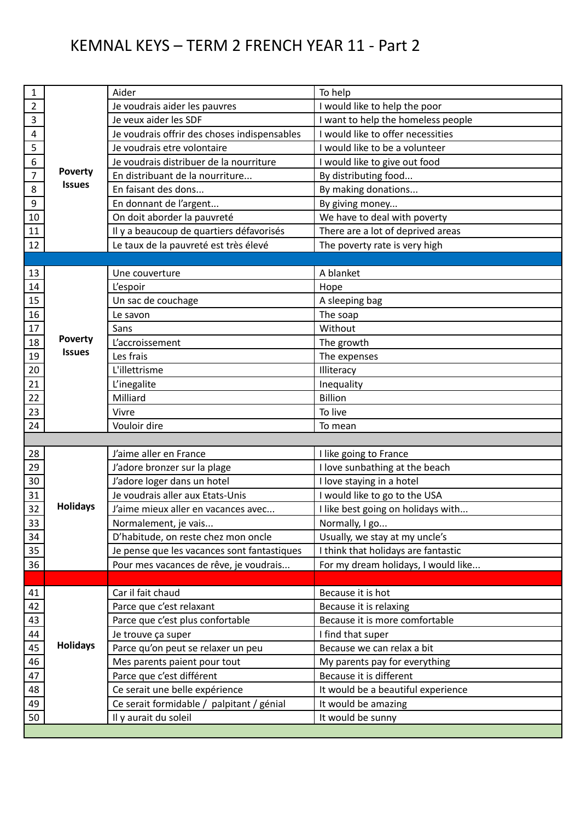## KEMNAL KEYS – TERM 2 FRENCH YEAR 11 - Part 2

| 1                |                 | Aider                                        | To help                             |
|------------------|-----------------|----------------------------------------------|-------------------------------------|
| $\overline{2}$   |                 | Je voudrais aider les pauvres                | I would like to help the poor       |
| 3                |                 | Je veux aider les SDF                        | I want to help the homeless people  |
| 4                |                 | Je voudrais offrir des choses indispensables | I would like to offer necessities   |
| 5                |                 | Je voudrais etre volontaire                  | I would like to be a volunteer      |
| 6                |                 | Je voudrais distribuer de la nourriture      | I would like to give out food       |
| $\overline{7}$   | <b>Poverty</b>  | En distribuant de la nourriture              | By distributing food                |
| 8                | <b>Issues</b>   | En faisant des dons                          | By making donations                 |
| $\boldsymbol{9}$ |                 | En donnant de l'argent                       | By giving money                     |
| 10               |                 | On doit aborder la pauvreté                  | We have to deal with poverty        |
| 11               |                 | Il y a beaucoup de quartiers défavorisés     | There are a lot of deprived areas   |
| 12               |                 | Le taux de la pauvreté est très élevé        | The poverty rate is very high       |
|                  |                 |                                              |                                     |
| 13               |                 | Une couverture                               | A blanket                           |
| 14               |                 | L'espoir                                     | Hope                                |
| 15               |                 | Un sac de couchage                           | A sleeping bag                      |
| 16               |                 | Le savon                                     | The soap                            |
| 17               |                 | Sans                                         | Without                             |
| 18               | <b>Poverty</b>  | L'accroissement                              | The growth                          |
| 19               | <b>Issues</b>   | Les frais                                    | The expenses                        |
| 20               |                 | L'illettrisme                                | Illiteracy                          |
| 21               |                 | L'inegalite                                  | Inequality                          |
| 22               |                 | Milliard                                     | <b>Billion</b>                      |
| 23               |                 | Vivre                                        | To live                             |
| 24               |                 | Vouloir dire                                 | To mean                             |
|                  |                 |                                              |                                     |
| 28               |                 | J'aime aller en France                       | I like going to France              |
| 29               |                 | J'adore bronzer sur la plage                 | I love sunbathing at the beach      |
| 30               |                 | J'adore loger dans un hotel                  | I love staying in a hotel           |
| 31               |                 | Je voudrais aller aux Etats-Unis             | I would like to go to the USA       |
| 32               | <b>Holidays</b> | J'aime mieux aller en vacances avec          | I like best going on holidays with  |
| 33               |                 | Normalement, je vais                         | Normally, I go                      |
| 34               |                 | D'habitude, on reste chez mon oncle          | Usually, we stay at my uncle's      |
| 35               |                 | Je pense que les vacances sont fantastiques  | I think that holidays are fantastic |
| 36               |                 | Pour mes vacances de rêve, je voudrais       | For my dream holidays, I would like |
|                  |                 |                                              |                                     |
| 41               |                 | Car il fait chaud                            | Because it is hot                   |
| 42               |                 | Parce que c'est relaxant                     | Because it is relaxing              |
| 43               |                 | Parce que c'est plus confortable             | Because it is more comfortable      |
| 44               |                 | Je trouve ça super                           | I find that super                   |
| 45               | <b>Holidays</b> | Parce qu'on peut se relaxer un peu           | Because we can relax a bit          |
| 46               |                 | Mes parents paient pour tout                 | My parents pay for everything       |
| 47               |                 | Parce que c'est différent                    | Because it is different             |
| 48               |                 | Ce serait une belle expérience               | It would be a beautiful experience  |
| 49               |                 | Ce serait formidable / palpitant / génial    | It would be amazing                 |
| 50               |                 | Il y aurait du soleil                        | It would be sunny                   |
|                  |                 |                                              |                                     |